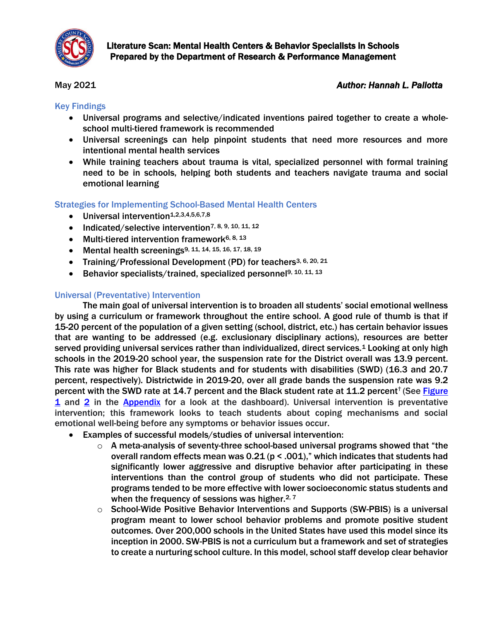

# May 2021 *Author: Hannah L. Pallotta*

# Key Findings

- Universal programs and selective/indicated inventions paired together to create a wholeschool multi-tiered framework is recommended
- Universal screenings can help pinpoint students that need more resources and more intentional mental health services
- While training teachers about trauma is vital, specialized personnel with formal training need to be in schools, helping both students and teachers navigate trauma and social emotional learning

#### Strategies for Implementing School-Based Mental Health Centers

- $\bullet$  Universal intervention<sup>1,2,3,4,5,6,7,8</sup>
- Indicated/selective intervention<sup>7, 8, 9, 10, 11, 12</sup>
- Multi-tiered intervention framework<sup>6, 8, 13</sup>
- Mental health screenings<sup>9, 11, 14, 15, 16, 17, 18, 19</sup>
- Training/Professional Development (PD) for teachers<sup>3, 6, 20, 21</sup>
- Behavior specialists/trained, specialized personnel<sup>9, 10, 11, 13</sup>

## Universal (Preventative) Intervention

The main goal of universal intervention is to broaden all students' social emotional wellness by using a curriculum or framework throughout the entire school. A good rule of thumb is that if 15-20 percent of the population of a given setting (school, district, etc.) has certain behavior issues that are wanting to be addressed (e.g. exclusionary disciplinary actions), resources are better served providing universal services rather than individualized, direct services.<sup>1</sup> Looking at only high schools in the 2019-20 school year, the suspension rate for the District overall was 13.9 percent. This rate was higher for Black students and for students with disabilities (SWD) (16.3 and 20.7 percent, respectively). Districtwide in 2019-20, over all grade bands the suspension rate was 9.2 percent with the SWD rate at 14.7 percent and the Black student rate at 11.2 percent<sup>†</sup> (See Figure [1](#page-7-0) and [2](#page-7-1) in the [Appendix](#page-7-2) for a look at the dashboard). Universal intervention is preventative intervention; this framework looks to teach students about coping mechanisms and social emotional well-being before any symptoms or behavior issues occur.

- Examples of successful models/studies of universal intervention:
	- $\circ$  A meta-analysis of seventy-three school-based universal programs showed that "the overall random effects mean was  $0.21$  ( $p < .001$ )," which indicates that students had significantly lower aggressive and disruptive behavior after participating in these interventions than the control group of students who did not participate. These programs tended to be more effective with lower socioeconomic status students and when the frequency of sessions was higher. $2, 7$
	- $\circ$  School-Wide Positive Behavior Interventions and Supports (SW-PBIS) is a universal program meant to lower school behavior problems and promote positive student outcomes. Over 200,000 schools in the United States have used this model since its inception in 2000. SW-PBIS is not a curriculum but a framework and set of strategies to create a nurturing school culture. In this model, school staff develop clear behavior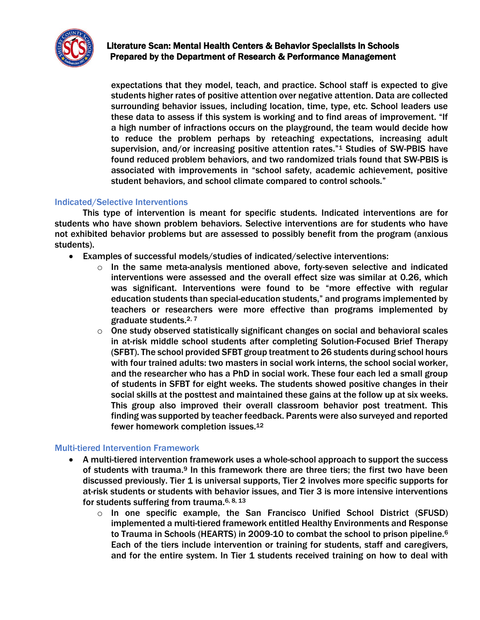

expectations that they model, teach, and practice. School staff is expected to give students higher rates of positive attention over negative attention. Data are collected surrounding behavior issues, including location, time, type, etc. School leaders use these data to assess if this system is working and to find areas of improvement. "If a high number of infractions occurs on the playground, the team would decide how to reduce the problem perhaps by reteaching expectations, increasing adult supervision, and/or increasing positive attention rates."<sup>1</sup> Studies of SW-PBIS have found reduced problem behaviors, and two randomized trials found that SW-PBIS is associated with improvements in "school safety, academic achievement, positive student behaviors, and school climate compared to control schools."

## Indicated/Selective Interventions

This type of intervention is meant for specific students. Indicated interventions are for students who have shown problem behaviors. Selective interventions are for students who have not exhibited behavior problems but are assessed to possibly benefit from the program (anxious students).

- Examples of successful models/studies of indicated/selective interventions:
	- o In the same meta-analysis mentioned above, forty-seven selective and indicated interventions were assessed and the overall effect size was similar at 0.26, which was significant. Interventions were found to be "more effective with regular education students than special-education students," and programs implemented by teachers or researchers were more effective than programs implemented by graduate students.2, 7
	- $\circ$  One study observed statistically significant changes on social and behavioral scales in at-risk middle school students after completing Solution-Focused Brief Therapy (SFBT). The school provided SFBT group treatment to 26 students during school hours with four trained adults: two masters in social work interns, the school social worker, and the researcher who has a PhD in social work. These four each led a small group of students in SFBT for eight weeks. The students showed positive changes in their social skills at the posttest and maintained these gains at the follow up at six weeks. This group also improved their overall classroom behavior post treatment. This finding was supported by teacher feedback. Parents were also surveyed and reported fewer homework completion issues.<sup>12</sup>

#### Multi-tiered Intervention Framework

- A multi-tiered intervention framework uses a whole-school approach to support the success of students with trauma.<sup>9</sup> In this framework there are three tiers; the first two have been discussed previously. Tier 1 is universal supports, Tier 2 involves more specific supports for at-risk students or students with behavior issues, and Tier 3 is more intensive interventions for students suffering from trauma.6, 8, <sup>13</sup>
	- $\circ$  In one specific example, the San Francisco Unified School District (SFUSD) implemented a multi-tiered framework entitled Healthy Environments and Response to Trauma in Schools (HEARTS) in 2009-10 to combat the school to prison pipeline.<sup>6</sup> Each of the tiers include intervention or training for students, staff and caregivers, and for the entire system. In Tier 1 students received training on how to deal with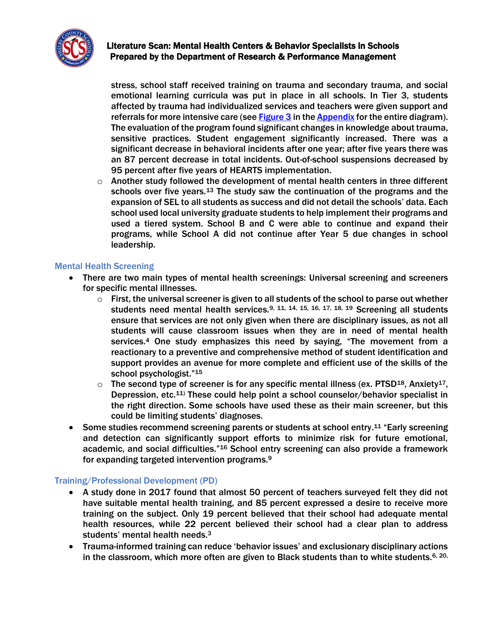

stress, school staff received training on trauma and secondary trauma, and social emotional learning curricula was put in place in all schools. In Tier 3, students affected by trauma had individualized services and teachers were given support and referrals for more intensive care (see [Figure 3](#page-8-0) in th[e Appendix](#page-7-2) for the entire diagram). The evaluation of the program found significant changes in knowledge about trauma, sensitive practices. Student engagement significantly increased. There was a significant decrease in behavioral incidents after one year; after five years there was an 87 percent decrease in total incidents. Out-of-school suspensions decreased by 95 percent after five years of HEARTS implementation.

 $\circ$  Another study followed the development of mental health centers in three different schools over five years.<sup>13</sup> The study saw the continuation of the programs and the expansion of SEL to all students as success and did not detail the schools' data. Each school used local university graduate students to help implement their programs and used a tiered system. School B and C were able to continue and expand their programs, while School A did not continue after Year 5 due changes in school leadership.

# Mental Health Screening

- There are two main types of mental health screenings: Universal screening and screeners for specific mental illnesses.
	- $\circ$  First, the universal screener is given to all students of the school to parse out whether students need mental health services.<sup>9, 11, 14, 15, 16, 17, 18, 19</sup> Screening all students ensure that services are not only given when there are disciplinary issues, as not all students will cause classroom issues when they are in need of mental health services. <sup>4</sup> One study emphasizes this need by saying, "The movement from a reactionary to a preventive and comprehensive method of student identification and support provides an avenue for more complete and efficient use of the skills of the school psychologist."<sup>15</sup>
	- $\circ$  The second type of screener is for any specific mental illness (ex. PTSD<sup>18</sup>, Anxiety<sup>17</sup>, Depression, etc.11) These could help point a school counselor/behavior specialist in the right direction. Some schools have used these as their main screener, but this could be limiting students' diagnoses.
- Some studies recommend screening parents or students at school entry.<sup>11</sup> "Early screening and detection can significantly support efforts to minimize risk for future emotional, academic, and social difficulties."<sup>16</sup> School entry screening can also provide a framework for expanding targeted intervention programs.<sup>9</sup>

# Training/Professional Development (PD)

- A study done in 2017 found that almost 50 percent of teachers surveyed felt they did not have suitable mental health training, and 85 percent expressed a desire to receive more training on the subject. Only 19 percent believed that their school had adequate mental health resources, while 22 percent believed their school had a clear plan to address students' mental health needs.<sup>3</sup>
- Trauma-informed training can reduce 'behavior issues' and exclusionary disciplinary actions in the classroom, which more often are given to Black students than to white students.  $6, 20$ ,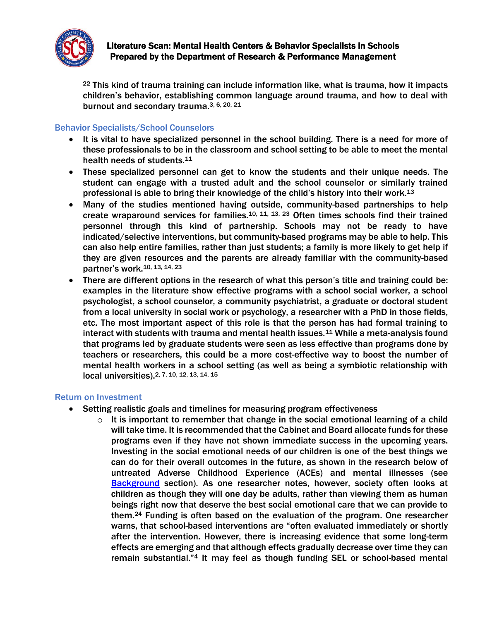

 $22$  This kind of trauma training can include information like, what is trauma, how it impacts children's behavior, establishing common language around trauma, and how to deal with burnout and secondary trauma.<sup>3, 6, 20, 21</sup>

## Behavior Specialists/School Counselors

- It is vital to have specialized personnel in the school building. There is a need for more of these professionals to be in the classroom and school setting to be able to meet the mental health needs of students.<sup>11</sup>
- These specialized personnel can get to know the students and their unique needs. The student can engage with a trusted adult and the school counselor or similarly trained professional is able to bring their knowledge of the child's history into their work.<sup>13</sup>
- Many of the studies mentioned having outside, community-based partnerships to help create wraparound services for families.<sup>10, 11, 13, 23</sup> Often times schools find their trained personnel through this kind of partnership. Schools may not be ready to have indicated/selective interventions, but community-based programs may be able to help. This can also help entire families, rather than just students; a family is more likely to get help if they are given resources and the parents are already familiar with the community-based partner's work. 10, 13, 14, 23
- There are different options in the research of what this person's title and training could be: examples in the literature show effective programs with a school social worker, a school psychologist, a school counselor, a community psychiatrist, a graduate or doctoral student from a local university in social work or psychology, a researcher with a PhD in those fields, etc. The most important aspect of this role is that the person has had formal training to interact with students with trauma and mental health issues.<sup>11</sup> While a meta-analysis found that programs led by graduate students were seen as less effective than programs done by teachers or researchers, this could be a more cost-effective way to boost the number of mental health workers in a school setting (as well as being a symbiotic relationship with local universities). 2, 7, 10, 12, 13, 14, 15

#### Return on Investment

- Setting realistic goals and timelines for measuring program effectiveness
	- $\circ$  It is important to remember that change in the social emotional learning of a child will take time. It is recommended that the Cabinet and Board allocate funds for these programs even if they have not shown immediate success in the upcoming years. Investing in the social emotional needs of our children is one of the best things we can do for their overall outcomes in the future, as shown in the research below of untreated Adverse Childhood Experience (ACEs) and mental illnesses (see [Background](#page-4-0) section). As one researcher notes, however, society often looks at children as though they will one day be adults, rather than viewing them as human beings right now that deserve the best social emotional care that we can provide to them.<sup>24</sup> Funding is often based on the evaluation of the program. One researcher warns, that school-based interventions are "often evaluated immediately or shortly after the intervention. However, there is increasing evidence that some long-term effects are emerging and that although effects gradually decrease over time they can remain substantial."<sup>4</sup> It may feel as though funding SEL or school-based mental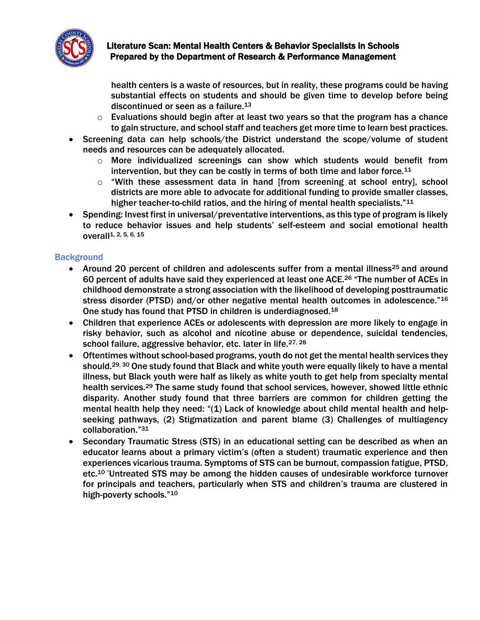

health centers is a waste of resources, but in reality, these programs could be having substantial effects on students and should be given time to develop before being discontinued or seen as a failure.<sup>13</sup>

- $\circ$  Evaluations should begin after at least two years so that the program has a chance to gain structure, and school staff and teachers get more time to learn best practices.
- Screening data can help schools/the District understand the scope/volume of student needs and resources can be adequately allocated.
	- $\circ$  More individualized screenings can show which students would benefit from intervention, but they can be costly in terms of both time and labor force.<sup>11</sup>
	- o "With these assessment data in hand [from screening at school entry], school districts are more able to advocate for additional funding to provide smaller classes, higher teacher-to-child ratios, and the hiring of mental health specialists."<sup>11</sup>
- Spending: Invest first in universal/preventative interventions, as this type of program is likely to reduce behavior issues and help students' self-esteem and social emotional health overall1, 2, 5, 6, 15

## <span id="page-4-0"></span>**Background**

- Around 20 percent of children and adolescents suffer from a mental illness<sup>25</sup> and around 60 percent of adults have said they experienced at least one ACE.<sup>26</sup> "The number of ACEs in childhood demonstrate a strong association with the likelihood of developing posttraumatic stress disorder (PTSD) and/or other negative mental health outcomes in adolescence."<sup>16</sup> One study has found that PTSD in children is underdiagnosed.<sup>18</sup>
- Children that experience ACEs or adolescents with depression are more likely to engage in risky behavior, such as alcohol and nicotine abuse or dependence, suicidal tendencies, school failure, aggressive behavior, etc. later in life.<sup>27, 28</sup>
- Oftentimes without school-based programs, youth do not get the mental health services they should.<sup>29, 30</sup> One study found that Black and white youth were equally likely to have a mental illness, but Black youth were half as likely as white youth to get help from specialty mental health services.<sup>29</sup> The same study found that school services, however, showed little ethnic disparity. Another study found that three barriers are common for children getting the mental health help they need: "(1) Lack of knowledge about child mental health and helpseeking pathways, (2) Stigmatization and parent blame (3) Challenges of multiagency collaboration."<sup>31</sup>
- Secondary Traumatic Stress (STS) in an educational setting can be described as when an educator learns about a primary victim's (often a student) traumatic experience and then experiences vicarious trauma. Symptoms of STS can be burnout, compassion fatigue, PTSD, etc.<sup>10</sup> "Untreated STS may be among the hidden causes of undesirable workforce turnover for principals and teachers, particularly when STS and children's trauma are clustered in high-poverty schools."10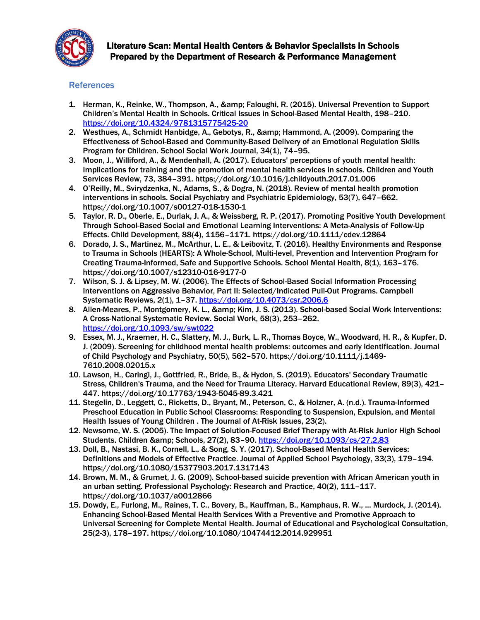

#### **References**

- 1. Herman, K., Reinke, W., Thompson, A., & amp; Faloughi, R. (2015). Universal Prevention to Support Children's Mental Health in Schools. Critical Issues in School-Based Mental Health, 198–210. <https://doi.org/10.4324/9781315775425-20>
- 2. Westhues, A., Schmidt Hanbidge, A., Gebotys, R., & amp; Hammond, A. (2009). Comparing the Effectiveness of School-Based and Community-Based Delivery of an Emotional Regulation Skills Program for Children. School Social Work Journal, 34(1), 74–95.
- 3. Moon, J., Williford, A., & Mendenhall, A. (2017). Educators' perceptions of youth mental health: Implications for training and the promotion of mental health services in schools. Children and Youth Services Review, 73, 384–391. https://doi.org/10.1016/j.childyouth.2017.01.006
- 4. O'Reilly, M., Svirydzenka, N., Adams, S., & Dogra, N. (2018). Review of mental health promotion interventions in schools. Social Psychiatry and Psychiatric Epidemiology, 53(7), 647–662. https://doi.org/10.1007/s00127-018-1530-1
- 5. Taylor, R. D., Oberle, E., Durlak, J. A., & Weissberg, R. P. (2017). Promoting Positive Youth Development Through School-Based Social and Emotional Learning Interventions: A Meta-Analysis of Follow-Up Effects. Child Development, 88(4), 1156–1171. https://doi.org/10.1111/cdev.12864
- 6. Dorado, J. S., Martinez, M., McArthur, L. E., & Leibovitz, T. (2016). Healthy Environments and Response to Trauma in Schools (HEARTS): A Whole-School, Multi-level, Prevention and Intervention Program for Creating Trauma-Informed, Safe and Supportive Schools. School Mental Health, 8(1), 163-176. https://doi.org/10.1007/s12310-016-9177-0
- 7. Wilson, S. J. & Lipsey, M. W. (2006). The Effects of School-Based Social Information Processing Interventions on Aggressive Behavior, Part II: Selected/Indicated Pull-Out Programs. Campbell Systematic Reviews, 2(1), 1-37. <https://doi.org/10.4073/csr.2006.6>
- 8. Allen-Meares, P., Montgomery, K. L., & amp; Kim, J. S. (2013). School-based Social Work Interventions: A Cross-National Systematic Review. Social Work, 58(3), 253–262. <https://doi.org/10.1093/sw/swt022>
- 9. Essex, M. J., Kraemer, H. C., Slattery, M. J., Burk, L. R., Thomas Boyce, W., Woodward, H. R., & Kupfer, D. J. (2009). Screening for childhood mental health problems: outcomes and early identification. Journal of Child Psychology and Psychiatry, 50(5), 562–570. https://doi.org/10.1111/j.1469- 7610.2008.02015.x
- 10. Lawson, H., Caringi, J., Gottfried, R., Bride, B., & Hydon, S. (2019). Educators' Secondary Traumatic Stress, Children's Trauma, and the Need for Trauma Literacy. Harvard Educational Review, 89(3), 421– 447. https://doi.org/10.17763/1943-5045-89.3.421
- 11. Stegelin, D., Leggett, C., Ricketts, D., Bryant, M., Peterson, C., & Holzner, A. (n.d.). Trauma-Informed Preschool Education in Public School Classrooms: Responding to Suspension, Expulsion, and Mental Health Issues of Young Children . The Journal of At-Risk Issues, 23(2).
- 12. Newsome, W. S. (2005). The Impact of Solution-Focused Brief Therapy with At-Risk Junior High School Students. Children & amp; Schools, 27(2), 83-90. <https://doi.org/10.1093/cs/27.2.83>
- 13. Doll, B., Nastasi, B. K., Cornell, L., & Song, S. Y. (2017). School-Based Mental Health Services: Definitions and Models of Effective Practice. Journal of Applied School Psychology, 33(3), 179–194. https://doi.org/10.1080/15377903.2017.1317143
- 14. Brown, M. M., & Grumet, J. G. (2009). School-based suicide prevention with African American youth in an urban setting. Professional Psychology: Research and Practice, 40(2), 111–117. https://doi.org/10.1037/a0012866
- 15. Dowdy, E., Furlong, M., Raines, T. C., Bovery, B., Kauffman, B., Kamphaus, R. W., … Murdock, J. (2014). Enhancing School-Based Mental Health Services With a Preventive and Promotive Approach to Universal Screening for Complete Mental Health. Journal of Educational and Psychological Consultation, 25(2-3), 178–197. https://doi.org/10.1080/10474412.2014.929951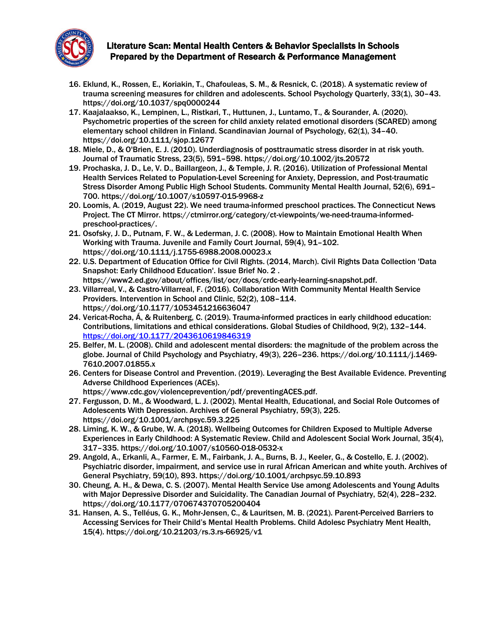

- 16. Eklund, K., Rossen, E., Koriakin, T., Chafouleas, S. M., & Resnick, C. (2018). A systematic review of trauma screening measures for children and adolescents. School Psychology Quarterly, 33(1), 30–43. https://doi.org/10.1037/spq0000244
- 17. Kaajalaakso, K., Lempinen, L., Ristkari, T., Huttunen, J., Luntamo, T., & Sourander, A. (2020). Psychometric properties of the screen for child anxiety related emotional disorders (SCARED) among elementary school children in Finland. Scandinavian Journal of Psychology, 62(1), 34–40. https://doi.org/10.1111/sjop.12677
- 18. Miele, D., & O'Brien, E. J. (2010). Underdiagnosis of posttraumatic stress disorder in at risk youth. Journal of Traumatic Stress, 23(5), 591–598. https://doi.org/10.1002/jts.20572
- 19. Prochaska, J. D., Le, V. D., Baillargeon, J., & Temple, J. R. (2016). Utilization of Professional Mental Health Services Related to Population-Level Screening for Anxiety, Depression, and Post-traumatic Stress Disorder Among Public High School Students. Community Mental Health Journal, 52(6), 691– 700. https://doi.org/10.1007/s10597-015-9968-z
- 20. Loomis, A. (2019, August 22). We need trauma-informed preschool practices. The Connecticut News Project. The CT Mirror. https://ctmirror.org/category/ct-viewpoints/we-need-trauma-informedpreschool-practices/.
- 21. Osofsky, J. D., Putnam, F. W., & Lederman, J. C. (2008). How to Maintain Emotional Health When Working with Trauma. Juvenile and Family Court Journal, 59(4), 91–102. https://doi.org/10.1111/j.1755-6988.2008.00023.x
- 22. U.S. Department of Education Office for Civil Rights. (2014, March). Civil Rights Data Collection 'Data Snapshot: Early Childhood Education'. Issue Brief No. 2 . https://www2.ed.gov/about/offices/list/ocr/docs/crdc-early-learning-snapshot.pdf.
- 23. Villarreal, V., & Castro-Villarreal, F. (2016). Collaboration With Community Mental Health Service Providers. Intervention in School and Clinic, 52(2), 108–114. https://doi.org/10.1177/1053451216636047
- 24. Vericat-Rocha, Á, & Ruitenberg, C. (2019). Trauma-informed practices in early childhood education: Contributions, limitations and ethical considerations. Global Studies of Childhood, 9(2), 132–144. <https://doi.org/10.1177/2043610619846319>
- 25. Belfer, M. L. (2008). Child and adolescent mental disorders: the magnitude of the problem across the globe. Journal of Child Psychology and Psychiatry, 49(3), 226–236. https://doi.org/10.1111/j.1469- 7610.2007.01855.x
- 26. Centers for Disease Control and Prevention. (2019). Leveraging the Best Available Evidence. Preventing Adverse Childhood Experiences (ACEs). https://www.cdc.gov/violenceprevention/pdf/preventingACES.pdf.
- 27. Fergusson, D. M., & Woodward, L. J. (2002). Mental Health, Educational, and Social Role Outcomes of Adolescents With Depression. Archives of General Psychiatry, 59(3), 225. https://doi.org/10.1001/archpsyc.59.3.225
- 28. Liming, K. W., & Grube, W. A. (2018). Wellbeing Outcomes for Children Exposed to Multiple Adverse Experiences in Early Childhood: A Systematic Review. Child and Adolescent Social Work Journal, 35(4), 317–335. https://doi.org/10.1007/s10560-018-0532-x
- 29. Angold, A., Erkanli, A., Farmer, E. M., Fairbank, J. A., Burns, B. J., Keeler, G., & Costello, E. J. (2002). Psychiatric disorder, impairment, and service use in rural African American and white youth. Archives of General Psychiatry, 59(10), 893. https://doi.org/10.1001/archpsyc.59.10.893
- 30. Cheung, A. H., & Dewa, C. S. (2007). Mental Health Service Use among Adolescents and Young Adults with Major Depressive Disorder and Suicidality. The Canadian Journal of Psychiatry, 52(4), 228–232. https://doi.org/10.1177/070674370705200404
- 31. Hansen, A. S., Telléus, G. K., Mohr-Jensen, C., & Lauritsen, M. B. (2021). Parent-Perceived Barriers to Accessing Services for Their Child's Mental Health Problems. Child Adolesc Psychiatry Ment Health, 15(4). https://doi.org/10.21203/rs.3.rs-66925/v1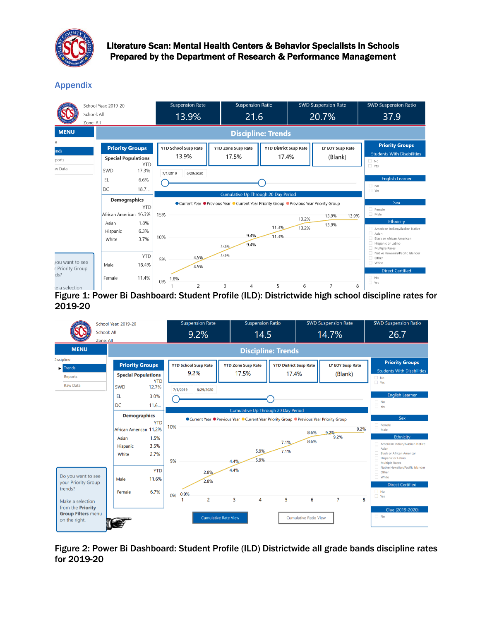

<span id="page-7-2"></span>Appendix

|                                     | School Year: 2019-20<br>School: All<br>Zone: All     |                       | <b>Suspension Rate</b><br>13.9%                                                                    |                       | <b>Suspension Ratio</b><br>21.6    |                                        | <b>SWD Suspension Rate</b><br>20.7% |                             | SWD Suspension Ratio<br>37.9                                                                                          |
|-------------------------------------|------------------------------------------------------|-----------------------|----------------------------------------------------------------------------------------------------|-----------------------|------------------------------------|----------------------------------------|-------------------------------------|-----------------------------|-----------------------------------------------------------------------------------------------------------------------|
| <b>MENU</b>                         |                                                      |                       |                                                                                                    |                       |                                    |                                        |                                     |                             |                                                                                                                       |
| е<br>ends<br>ports                  | <b>Priority Groups</b><br><b>Special Populations</b> | <b>YTD</b>            | <b>YTD School Susp Rate</b><br>13.9%                                                               |                       | <b>YTD Zone Susp Rate</b><br>17.5% | <b>YTD District Susp Rate</b><br>17.4% |                                     | LY EOY Susp Rate<br>(Blank) | <b>Priority Groups</b><br><b>Students With Disabilities</b><br>$\Box$ No                                              |
| w Data                              | SWD<br>EL.<br>DC                                     | 17.3%<br>6.6%<br>18.7 | 6/29/2020<br>7/1/2019                                                                              |                       |                                    |                                        |                                     |                             | $\Box$ Yes<br><b>English Learner</b><br>$\Box$ No<br>$\Box$ Yes                                                       |
|                                     | <b>Demographics</b><br>African American 16.3%        | <b>YTD</b>            | ● Current Year ● Previous Year ● Current Year Priority Group ● Previous Year Priority Group<br>15% | Sex<br>Female<br>Male |                                    |                                        |                                     |                             |                                                                                                                       |
|                                     | Asian<br>Hispanic<br>White                           | 1.8%<br>6.3%<br>3.7%  | 10%                                                                                                |                       | 9.4%<br>9.4%<br>7.0%               | 11.3%<br>11.3%                         | 13.2%<br>13.2%                      | 13.9%<br>13.9%<br>13.9%     | <b>Ethnicity</b><br>American Indian/Alaskan Native<br>Asian<br><b>Black or African American</b><br>Hispanic or Latino |
| you want to see<br>r Priority Group | Male                                                 | <b>YTD</b><br>16.4%   | 4.5%<br>5%<br>4.5%                                                                                 |                       | 7.0%                               |                                        |                                     |                             | Multiple Races<br>Native Hawaiian/Pacific Islander<br>$\Box$ Other<br>White<br><b>Direct Certified</b>                |
| $ds$ ?<br>te a selection            | Female<br>R                                          | 11.4%<br>ה יה         | 1.8%<br>0%<br>2                                                                                    |                       | 3<br>4<br>49 L                     | 5<br>$(11.7)$ $5!$                     | 6                                   | $\overline{7}$              | $\Box$ No<br>Yes<br>8<br>.                                                                                            |

<span id="page-7-0"></span>Figure 1: Power Bi Dashboard: Student Profile (ILD): Districtwide high school discipline rates for 2019-20

| School: All               | School Year: 2019-20       |                     | <b>Suspension Rate</b>      |                             | <b>Suspension Ratio</b>                                                                     |                               |                              | <b>SWD Suspension Rate</b> | <b>SWD Suspension Ratio</b>               |
|---------------------------|----------------------------|---------------------|-----------------------------|-----------------------------|---------------------------------------------------------------------------------------------|-------------------------------|------------------------------|----------------------------|-------------------------------------------|
| Zone: All                 |                            |                     | 9.2%                        |                             | 14.5                                                                                        |                               |                              | 14.7%                      | 26.7                                      |
| <b>MENU</b>               |                            |                     |                             |                             |                                                                                             | <b>Discipline: Trends</b>     |                              |                            |                                           |
| <b>Discipline</b>         |                            |                     | <b>YTD School Susp Rate</b> |                             |                                                                                             |                               |                              |                            | <b>Priority Groups</b>                    |
| <b>Trends</b>             | <b>Priority Groups</b>     |                     |                             |                             | <b>YTD Zone Susp Rate</b>                                                                   | <b>YTD District Susp Rate</b> |                              | <b>LY EOY Susp Rate</b>    | <b>Students With Disabilities</b>         |
| Reports                   | <b>Special Populations</b> |                     | 9.2%                        |                             | 17.5%                                                                                       | 17.4%                         |                              | (Blank)                    | $\Box$ No                                 |
| <b>Raw Data</b>           | <b>SWD</b>                 | <b>YTD</b><br>12.7% | 7/1/2019<br>6/29/2020       |                             |                                                                                             |                               |                              |                            | $\Box$ Yes                                |
|                           | <b>EL</b>                  | 3.0%                |                             |                             |                                                                                             |                               |                              |                            | <b>English Learner</b>                    |
|                           | DC                         | 11.6                |                             |                             |                                                                                             |                               |                              |                            | $\Box$ No<br>$\Box$ Yes                   |
|                           |                            |                     |                             |                             | Cumulative Up Through 20 Day Period                                                         |                               |                              |                            |                                           |
|                           | <b>Demographics</b>        | <b>YTD</b>          |                             |                             | ● Current Year ● Previous Year ● Current Year Priority Group ● Previous Year Priority Group |                               |                              |                            | Sex                                       |
|                           | African American 11.2%     |                     | 10%                         |                             |                                                                                             |                               |                              | 9.2%                       | Female<br>$\Box$ Male                     |
|                           | Asian                      | 1.5%                |                             |                             |                                                                                             |                               | 8.6%                         | 9.2%<br>9.2%               | Ethnicity                                 |
|                           | <b>Hispanic</b>            | 3.5%                |                             |                             |                                                                                             | 7.1%                          | 8.6%                         |                            | American Indian/Alaskan Native            |
|                           | White                      | 2.7%                |                             |                             | 5.9%                                                                                        | 7.1%                          |                              |                            | Asian<br><b>Black or African American</b> |
|                           |                            |                     | 5%                          |                             | 5.9%<br>4.4%                                                                                |                               |                              |                            | Hispanic or Latino<br>Multiple Races      |
|                           |                            | <b>YTD</b>          |                             |                             | 4.4%                                                                                        |                               |                              |                            | Native Hawaiian/Pacific Islander          |
| Do you want to see        | Male                       | 11.6%               |                             | 2.8%                        |                                                                                             |                               |                              |                            | Other<br>$\Box$ White                     |
| your Priority Group       |                            |                     |                             | 2.8%                        |                                                                                             |                               |                              |                            | <b>Direct Certified</b>                   |
| trends?                   | Female                     | 6.7%                | 0.9%<br>0%                  |                             |                                                                                             |                               |                              |                            | $\Box$ No                                 |
| Make a selection          |                            |                     |                             | $\overline{2}$              | 3<br>4                                                                                      | 5                             | 6                            | $\overline{7}$             | <b>Yes</b><br>8                           |
| from the <b>Priority</b>  |                            |                     |                             |                             |                                                                                             |                               |                              |                            | Clue (2019-2020)                          |
| <b>Group Filters menu</b> |                            |                     |                             | <b>Cumulative Rate View</b> |                                                                                             |                               | <b>Cumulative Ratio View</b> |                            | $\Box$ No                                 |
| on the right.             |                            |                     |                             |                             |                                                                                             |                               |                              |                            |                                           |
|                           |                            |                     |                             |                             |                                                                                             |                               |                              |                            |                                           |

<span id="page-7-1"></span>Figure 2: Power Bi Dashboard: Student Profile (ILD) Districtwide all grade bands discipline rates for 2019-20